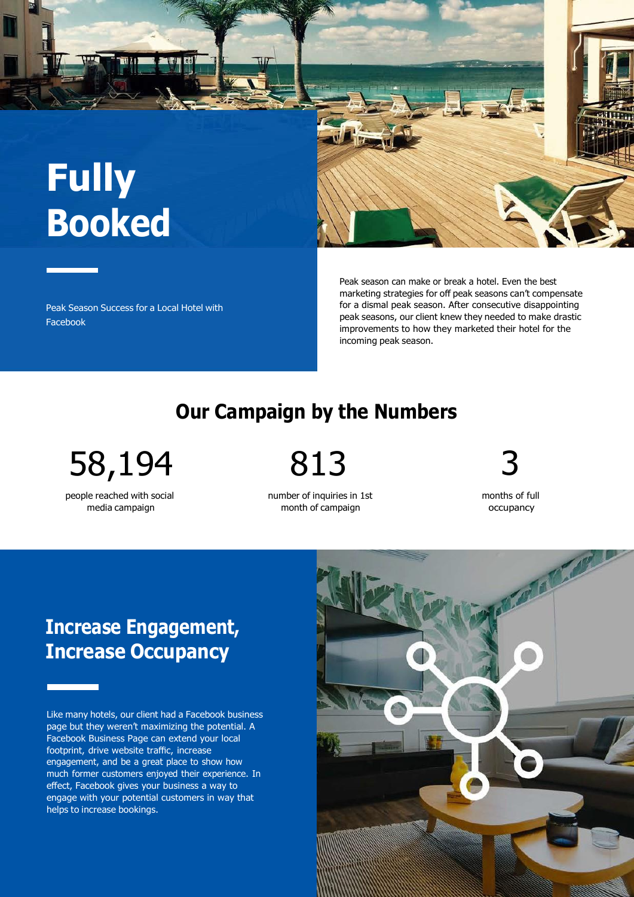# **Fully Booked**

Peak Season Success for a Local Hotel with Facebook

Peak season can make or break a hotel. Even the best marketing strategies for off peak seasons can't compensate for a dismal peak season. After consecutive disappointing peak seasons, our client knew they needed to make drastic improvements to how they marketed their hotel for the incoming peak season.

### **Our Campaign by the Numbers**

58,194 813

people reached with social media campaign

number of inquiries in 1st month of campaign

months of full

occupancy

**Increase Engagement, Increase Occupancy**

Like many hotels, our client had a Facebook business page but they weren't maximizing the potential. A Facebook Business Page can extend your local footprint, drive website traffic, increase engagement, and be a great place to show how much former customers enjoyed their experience. In effect, Facebook gives your business a way to engage with your potential customers in way that helps to increase bookings.



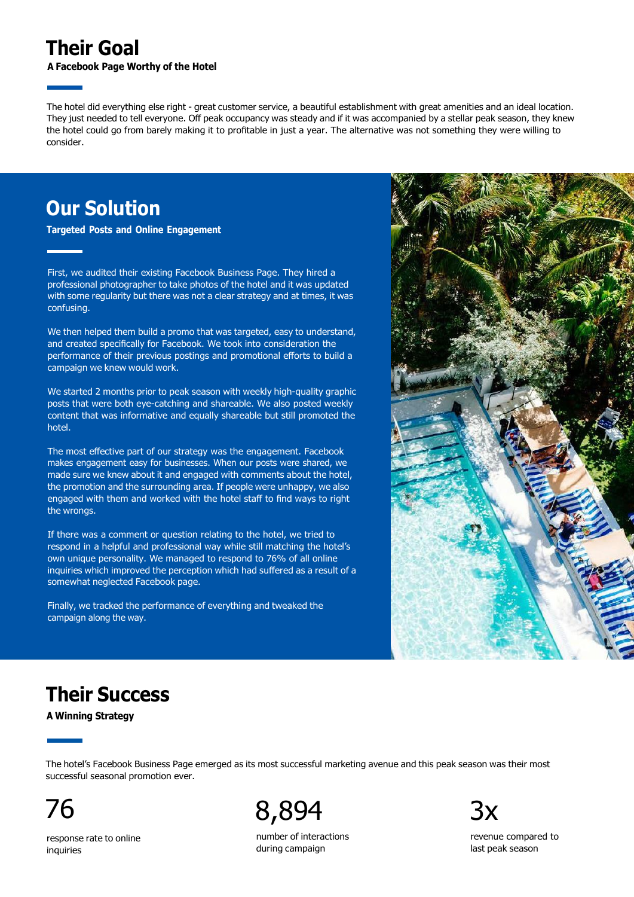#### **Their Goal**

**A Facebook Page Worthy of the Hotel**

The hotel did everything else right - great customer service, a beautiful establishment with great amenities and an ideal location. They just needed to tell everyone. Off peak occupancy was steady and if it was accompanied by a stellar peak season, they knew the hotel could go from barely making it to profitable in just a year. The alternative was not something they were willing to consider.

#### **Our Solution**

**Targeted Posts and Online Engagement**

First, we audited their existing Facebook Business Page. They hired a professional photographer to take photos of the hotel and it was updated with some regularity but there was not a clear strategy and at times, it was confusing.

We then helped them build a promo that was targeted, easy to understand, and created specifically for Facebook. We took into consideration the performance of their previous postings and promotional efforts to build a campaign we knew would work.

We started 2 months prior to peak season with weekly high-quality graphic posts that were both eye-catching and shareable. We also posted weekly content that was informative and equally shareable but still promoted the hotel.

The most effective part of our strategy was the engagement. Facebook makes engagement easy for businesses. When our posts were shared, we made sure we knew about it and engaged with comments about the hotel, the promotion and the surrounding area. If people were unhappy, we also engaged with them and worked with the hotel staff to find ways to right the wrongs.

If there was a comment or question relating to the hotel, we tried to respond in a helpful and professional way while still matching the hotel's own unique personality. We managed to respond to 76% of all online inquiries which improved the perception which had suffered as a result of a somewhat neglected Facebook page.

Finally, we tracked the performance of everything and tweaked the campaign along the way.



## **Their Success**

**A Winning Strategy**

The hotel's Facebook Business Page emerged as its most successful marketing avenue and this peak season was their most successful seasonal promotion ever.

76 8,894

number of interactions during campaign

revenue compared to last peak season

response rate to online inquiries